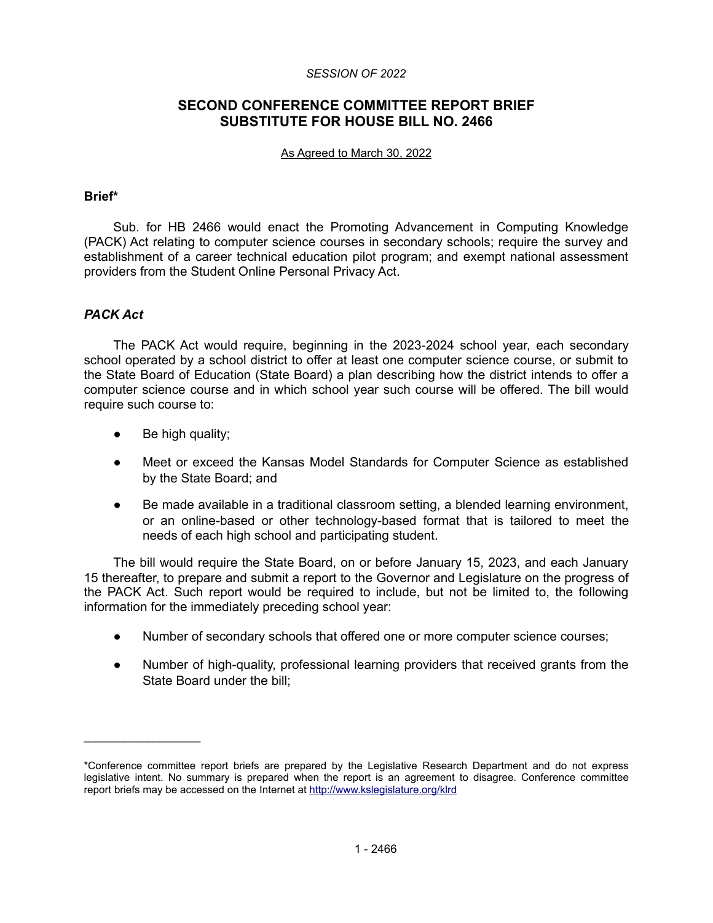#### *SESSION OF 2022*

# **SECOND CONFERENCE COMMITTEE REPORT BRIEF SUBSTITUTE FOR HOUSE BILL NO. 2466**

#### As Agreed to March 30, 2022

#### **Brief\***

Sub. for HB 2466 would enact the Promoting Advancement in Computing Knowledge (PACK) Act relating to computer science courses in secondary schools; require the survey and establishment of a career technical education pilot program; and exempt national assessment providers from the Student Online Personal Privacy Act.

# *PACK Act*

The PACK Act would require, beginning in the 2023-2024 school year, each secondary school operated by a school district to offer at least one computer science course, or submit to the State Board of Education (State Board) a plan describing how the district intends to offer a computer science course and in which school year such course will be offered. The bill would require such course to:

● Be high quality;

 $\mathcal{L}=\{1,2,3,4,5\}$ 

- Meet or exceed the Kansas Model Standards for Computer Science as established by the State Board; and
- Be made available in a traditional classroom setting, a blended learning environment, or an online-based or other technology-based format that is tailored to meet the needs of each high school and participating student.

The bill would require the State Board, on or before January 15, 2023, and each January 15 thereafter, to prepare and submit a report to the Governor and Legislature on the progress of the PACK Act. Such report would be required to include, but not be limited to, the following information for the immediately preceding school year:

- Number of secondary schools that offered one or more computer science courses;
- Number of high-quality, professional learning providers that received grants from the State Board under the bill;

<sup>\*</sup>Conference committee report briefs are prepared by the Legislative Research Department and do not express legislative intent. No summary is prepared when the report is an agreement to disagree. Conference committee report briefs may be accessed on the Internet at<http://www.kslegislature.org/klrd>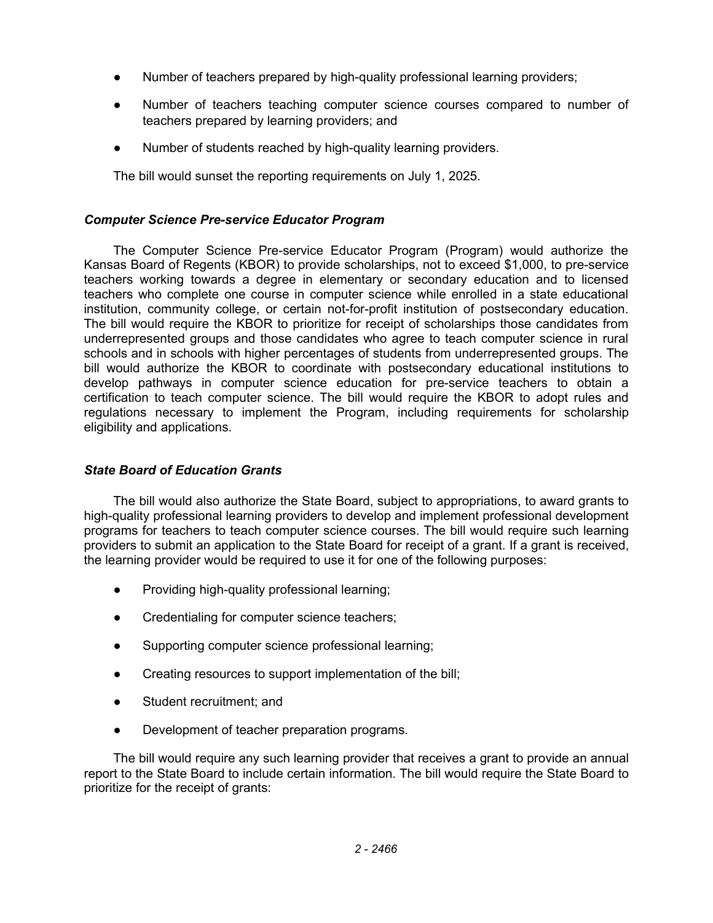- Number of teachers prepared by high-quality professional learning providers;
- Number of teachers teaching computer science courses compared to number of teachers prepared by learning providers; and
- Number of students reached by high-quality learning providers.

The bill would sunset the reporting requirements on July 1, 2025.

# *Computer Science Pre-service Educator Program*

The Computer Science Pre-service Educator Program (Program) would authorize the Kansas Board of Regents (KBOR) to provide scholarships, not to exceed \$1,000, to pre-service teachers working towards a degree in elementary or secondary education and to licensed teachers who complete one course in computer science while enrolled in a state educational institution, community college, or certain not-for-profit institution of postsecondary education. The bill would require the KBOR to prioritize for receipt of scholarships those candidates from underrepresented groups and those candidates who agree to teach computer science in rural schools and in schools with higher percentages of students from underrepresented groups. The bill would authorize the KBOR to coordinate with postsecondary educational institutions to develop pathways in computer science education for pre-service teachers to obtain a certification to teach computer science. The bill would require the KBOR to adopt rules and regulations necessary to implement the Program, including requirements for scholarship eligibility and applications.

# *State Board of Education Grants*

The bill would also authorize the State Board, subject to appropriations, to award grants to high-quality professional learning providers to develop and implement professional development programs for teachers to teach computer science courses. The bill would require such learning providers to submit an application to the State Board for receipt of a grant. If a grant is received, the learning provider would be required to use it for one of the following purposes:

- Providing high-quality professional learning;
- Credentialing for computer science teachers;
- Supporting computer science professional learning;
- Creating resources to support implementation of the bill;
- Student recruitment; and
- Development of teacher preparation programs.

The bill would require any such learning provider that receives a grant to provide an annual report to the State Board to include certain information. The bill would require the State Board to prioritize for the receipt of grants: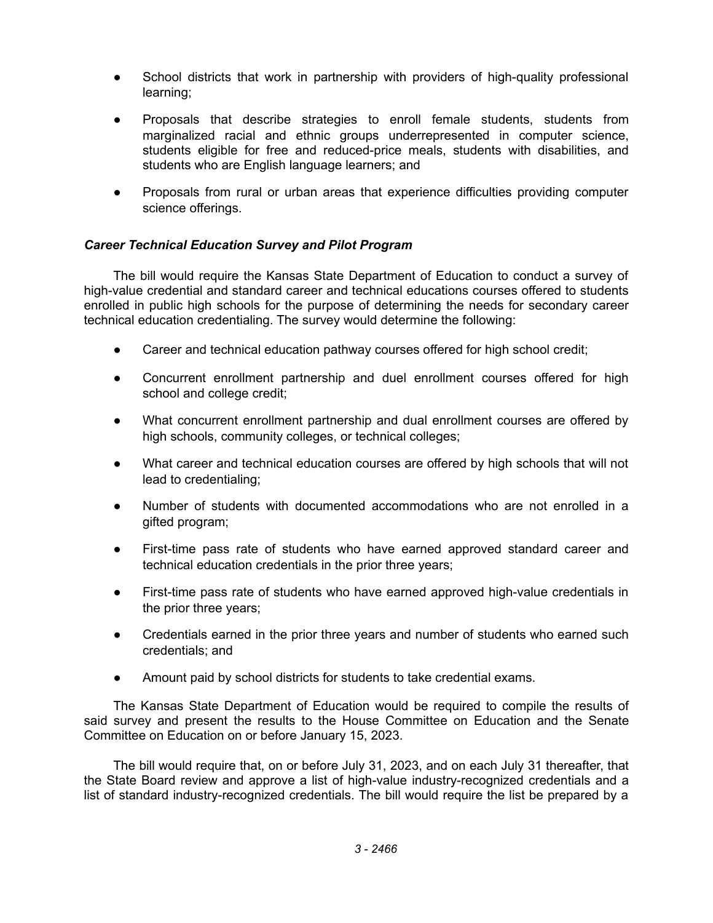- School districts that work in partnership with providers of high-quality professional learning;
- Proposals that describe strategies to enroll female students, students from marginalized racial and ethnic groups underrepresented in computer science, students eligible for free and reduced-price meals, students with disabilities, and students who are English language learners; and
- Proposals from rural or urban areas that experience difficulties providing computer science offerings.

# *Career Technical Education Survey and Pilot Program*

The bill would require the Kansas State Department of Education to conduct a survey of high-value credential and standard career and technical educations courses offered to students enrolled in public high schools for the purpose of determining the needs for secondary career technical education credentialing. The survey would determine the following:

- Career and technical education pathway courses offered for high school credit;
- Concurrent enrollment partnership and duel enrollment courses offered for high school and college credit;
- What concurrent enrollment partnership and dual enrollment courses are offered by high schools, community colleges, or technical colleges;
- What career and technical education courses are offered by high schools that will not lead to credentialing;
- Number of students with documented accommodations who are not enrolled in a gifted program;
- First-time pass rate of students who have earned approved standard career and technical education credentials in the prior three years;
- First-time pass rate of students who have earned approved high-value credentials in the prior three years;
- Credentials earned in the prior three years and number of students who earned such credentials; and
- Amount paid by school districts for students to take credential exams.

The Kansas State Department of Education would be required to compile the results of said survey and present the results to the House Committee on Education and the Senate Committee on Education on or before January 15, 2023.

The bill would require that, on or before July 31, 2023, and on each July 31 thereafter, that the State Board review and approve a list of high-value industry-recognized credentials and a list of standard industry-recognized credentials. The bill would require the list be prepared by a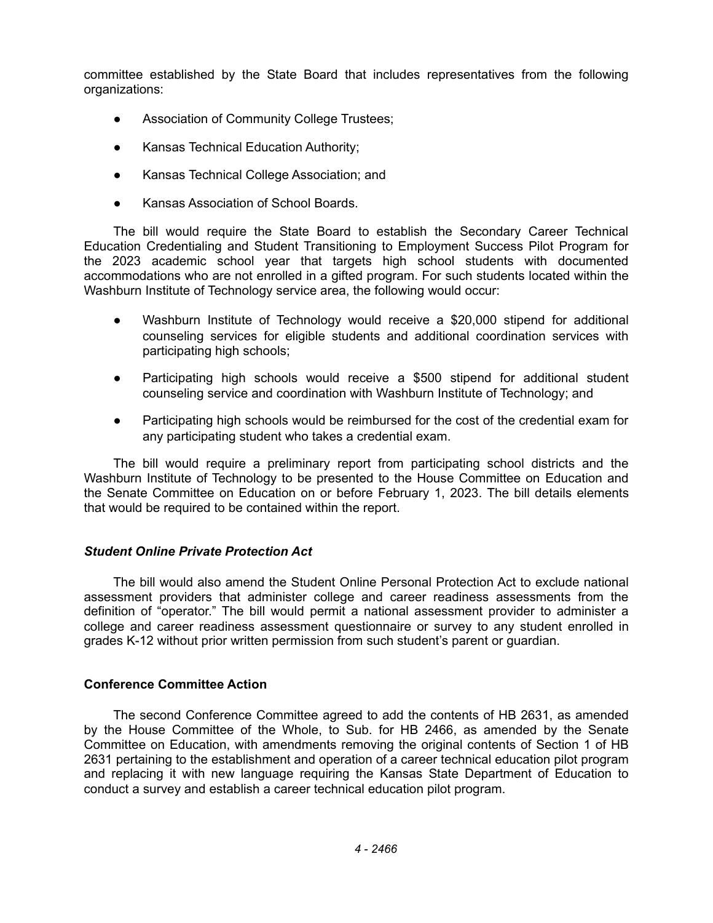committee established by the State Board that includes representatives from the following organizations:

- Association of Community College Trustees;
- Kansas Technical Education Authority;
- Kansas Technical College Association; and
- Kansas Association of School Boards.

The bill would require the State Board to establish the Secondary Career Technical Education Credentialing and Student Transitioning to Employment Success Pilot Program for the 2023 academic school year that targets high school students with documented accommodations who are not enrolled in a gifted program. For such students located within the Washburn Institute of Technology service area, the following would occur:

- Washburn Institute of Technology would receive a \$20,000 stipend for additional counseling services for eligible students and additional coordination services with participating high schools;
- Participating high schools would receive a \$500 stipend for additional student counseling service and coordination with Washburn Institute of Technology; and
- Participating high schools would be reimbursed for the cost of the credential exam for any participating student who takes a credential exam.

The bill would require a preliminary report from participating school districts and the Washburn Institute of Technology to be presented to the House Committee on Education and the Senate Committee on Education on or before February 1, 2023. The bill details elements that would be required to be contained within the report.

# *Student Online Private Protection Act*

The bill would also amend the Student Online Personal Protection Act to exclude national assessment providers that administer college and career readiness assessments from the definition of "operator." The bill would permit a national assessment provider to administer a college and career readiness assessment questionnaire or survey to any student enrolled in grades K-12 without prior written permission from such student's parent or guardian.

# **Conference Committee Action**

The second Conference Committee agreed to add the contents of HB 2631, as amended by the House Committee of the Whole, to Sub. for HB 2466, as amended by the Senate Committee on Education, with amendments removing the original contents of Section 1 of HB 2631 pertaining to the establishment and operation of a career technical education pilot program and replacing it with new language requiring the Kansas State Department of Education to conduct a survey and establish a career technical education pilot program.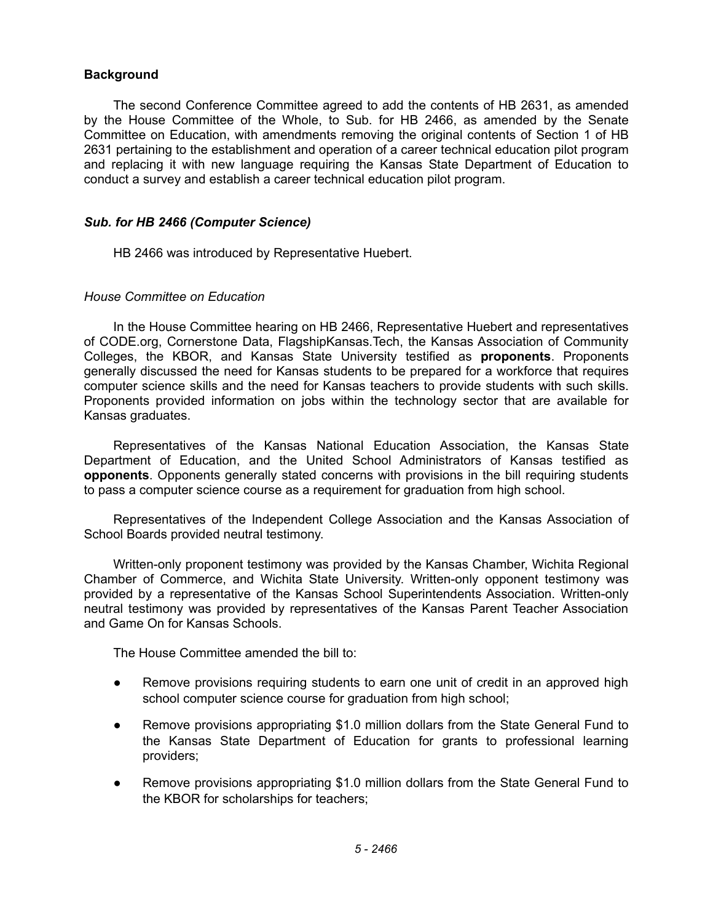### **Background**

The second Conference Committee agreed to add the contents of HB 2631, as amended by the House Committee of the Whole, to Sub. for HB 2466, as amended by the Senate Committee on Education, with amendments removing the original contents of Section 1 of HB 2631 pertaining to the establishment and operation of a career technical education pilot program and replacing it with new language requiring the Kansas State Department of Education to conduct a survey and establish a career technical education pilot program.

### *Sub. for HB 2466 (Computer Science)*

HB 2466 was introduced by Representative Huebert.

### *House Committee on Education*

In the House Committee hearing on HB 2466, Representative Huebert and representatives of CODE.org, Cornerstone Data, FlagshipKansas.Tech, the Kansas Association of Community Colleges, the KBOR, and Kansas State University testified as **proponents**. Proponents generally discussed the need for Kansas students to be prepared for a workforce that requires computer science skills and the need for Kansas teachers to provide students with such skills. Proponents provided information on jobs within the technology sector that are available for Kansas graduates.

Representatives of the Kansas National Education Association, the Kansas State Department of Education, and the United School Administrators of Kansas testified as **opponents**. Opponents generally stated concerns with provisions in the bill requiring students to pass a computer science course as a requirement for graduation from high school.

Representatives of the Independent College Association and the Kansas Association of School Boards provided neutral testimony.

Written-only proponent testimony was provided by the Kansas Chamber, Wichita Regional Chamber of Commerce, and Wichita State University. Written-only opponent testimony was provided by a representative of the Kansas School Superintendents Association. Written-only neutral testimony was provided by representatives of the Kansas Parent Teacher Association and Game On for Kansas Schools.

The House Committee amended the bill to:

- Remove provisions requiring students to earn one unit of credit in an approved high school computer science course for graduation from high school;
- Remove provisions appropriating \$1.0 million dollars from the State General Fund to the Kansas State Department of Education for grants to professional learning providers;
- Remove provisions appropriating \$1.0 million dollars from the State General Fund to the KBOR for scholarships for teachers;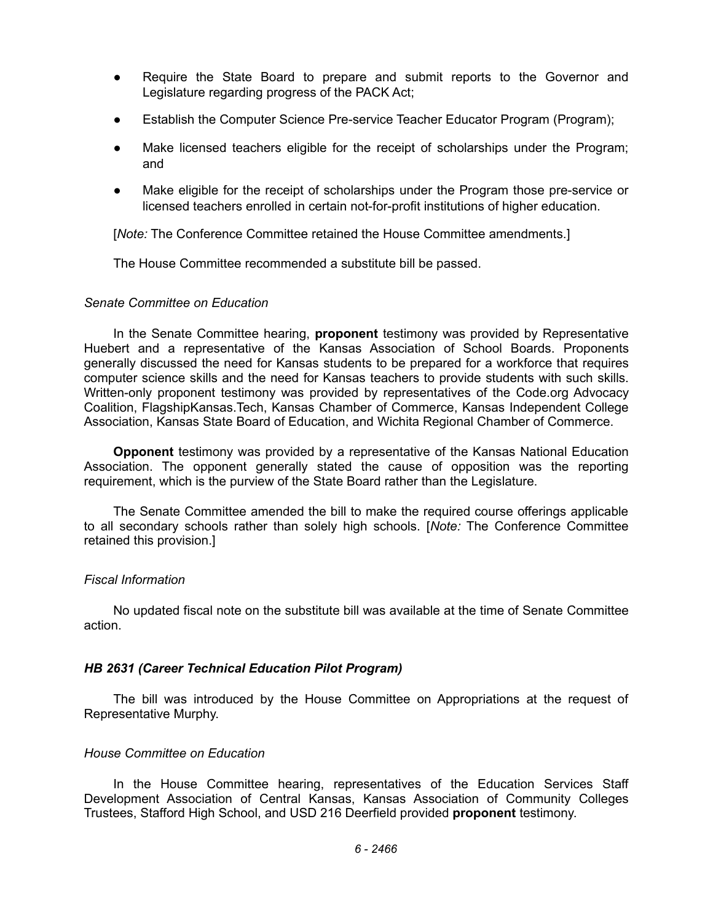- Require the State Board to prepare and submit reports to the Governor and Legislature regarding progress of the PACK Act;
- Establish the Computer Science Pre-service Teacher Educator Program (Program);
- Make licensed teachers eligible for the receipt of scholarships under the Program; and
- Make eligible for the receipt of scholarships under the Program those pre-service or licensed teachers enrolled in certain not-for-profit institutions of higher education.

[*Note:* The Conference Committee retained the House Committee amendments.]

The House Committee recommended a substitute bill be passed.

### *Senate Committee on Education*

In the Senate Committee hearing, **proponent** testimony was provided by Representative Huebert and a representative of the Kansas Association of School Boards. Proponents generally discussed the need for Kansas students to be prepared for a workforce that requires computer science skills and the need for Kansas teachers to provide students with such skills. Written-only proponent testimony was provided by representatives of the Code.org Advocacy Coalition, FlagshipKansas.Tech, Kansas Chamber of Commerce, Kansas Independent College Association, Kansas State Board of Education, and Wichita Regional Chamber of Commerce.

**Opponent** testimony was provided by a representative of the Kansas National Education Association. The opponent generally stated the cause of opposition was the reporting requirement, which is the purview of the State Board rather than the Legislature.

The Senate Committee amended the bill to make the required course offerings applicable to all secondary schools rather than solely high schools. [*Note:* The Conference Committee retained this provision.]

# *Fiscal Information*

No updated fiscal note on the substitute bill was available at the time of Senate Committee action.

# *HB 2631 (Career Technical Education Pilot Program)*

The bill was introduced by the House Committee on Appropriations at the request of Representative Murphy.

# *House Committee on Education*

In the House Committee hearing, representatives of the Education Services Staff Development Association of Central Kansas, Kansas Association of Community Colleges Trustees, Stafford High School, and USD 216 Deerfield provided **proponent** testimony.